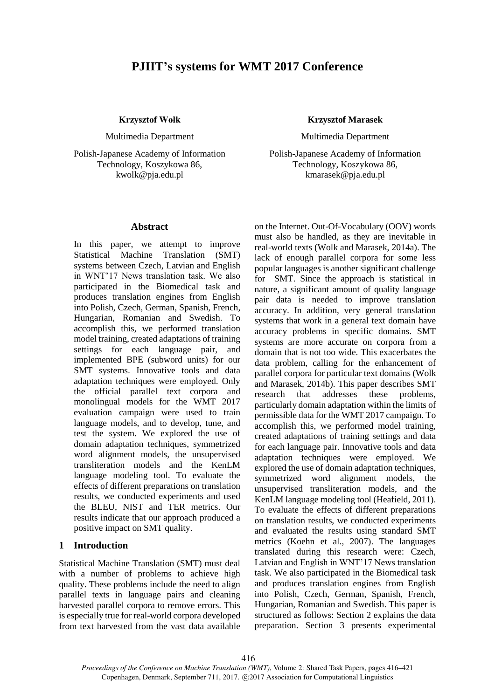# **PJIIT's systems for WMT 2017 Conference**

#### **Krzysztof Wołk**

Multimedia Department

Polish-Japanese Academy of Information Technology, Koszykowa 86, kwolk@pja.edu.pl

### **Krzysztof Marasek**

Multimedia Department

Polish-Japanese Academy of Information Technology, Koszykowa 86, kmarasek@pja.edu.pl

#### **Abstract**

In this paper, we attempt to improve Statistical Machine Translation (SMT) systems between Czech, Latvian and English in WNT'17 News translation task. We also participated in the Biomedical task and produces translation engines from English into Polish, Czech, German, Spanish, French, Hungarian, Romanian and Swedish. To accomplish this, we performed translation model training, created adaptations of training settings for each language pair, and implemented BPE (subword units) for our SMT systems. Innovative tools and data adaptation techniques were employed. Only the official parallel text corpora and monolingual models for the WMT 2017 evaluation campaign were used to train language models, and to develop, tune, and test the system. We explored the use of domain adaptation techniques, symmetrized word alignment models, the unsupervised transliteration models and the KenLM language modeling tool. To evaluate the effects of different preparations on translation results, we conducted experiments and used the BLEU, NIST and TER metrics. Our results indicate that our approach produced a positive impact on SMT quality.

### **1 Introduction**

Statistical Machine Translation (SMT) must deal with a number of problems to achieve high quality. These problems include the need to align parallel texts in language pairs and cleaning harvested parallel corpora to remove errors. This is especially true for real-world corpora developed from text harvested from the vast data available

on the Internet. Out-Of-Vocabulary (OOV) words must also be handled, as they are inevitable in real-world texts (Wolk and Marasek, 2014a). The lack of enough parallel corpora for some less popular languages is another significant challenge for SMT. Since the approach is statistical in nature, a significant amount of quality language pair data is needed to improve translation accuracy. In addition, very general translation systems that work in a general text domain have accuracy problems in specific domains. SMT systems are more accurate on corpora from a domain that is not too wide. This exacerbates the data problem, calling for the enhancement of parallel corpora for particular text domains (Wolk and Marasek, 2014b). This paper describes SMT research that addresses these problems, particularly domain adaptation within the limits of permissible data for the WMT 2017 campaign. To accomplish this, we performed model training, created adaptations of training settings and data for each language pair. Innovative tools and data adaptation techniques were employed. We explored the use of domain adaptation techniques, symmetrized word alignment models, the unsupervised transliteration models, and the KenLM language modeling tool (Heafield, 2011). To evaluate the effects of different preparations on translation results, we conducted experiments and evaluated the results using standard SMT metrics (Koehn et al., 2007). The languages translated during this research were: Czech, Latvian and English in WNT'17 News translation task. We also participated in the Biomedical task and produces translation engines from English into Polish, Czech, German, Spanish, French, Hungarian, Romanian and Swedish. This paper is structured as follows: Section 2 explains the data preparation. Section 3 presents experimental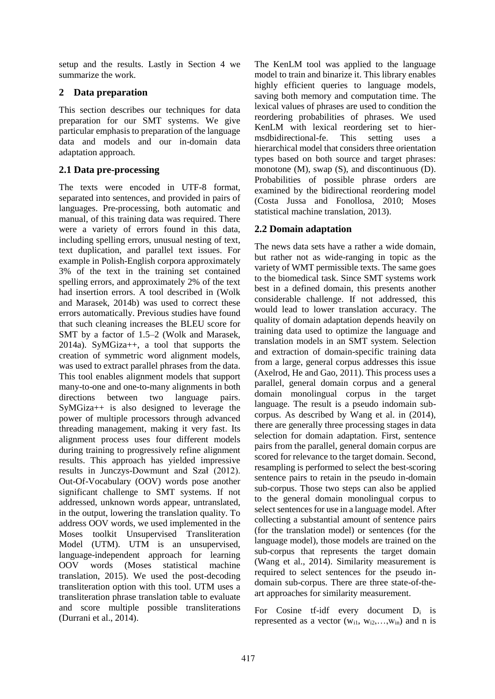setup and the results. Lastly in Section 4 we summarize the work.

# **2 Data preparation**

This section describes our techniques for data preparation for our SMT systems. We give particular emphasis to preparation of the language data and models and our in-domain data adaptation approach.

# **2.1 Data pre-processing**

The texts were encoded in UTF-8 format, separated into sentences, and provided in pairs of languages. Pre-processing, both automatic and manual, of this training data was required. There were a variety of errors found in this data, including spelling errors, unusual nesting of text, text duplication, and parallel text issues. For example in Polish-English corpora approximately 3% of the text in the training set contained spelling errors, and approximately 2% of the text had insertion errors. A tool described in (Wolk and Marasek, 2014b) was used to correct these errors automatically. Previous studies have found that such cleaning increases the BLEU score for SMT by a factor of 1.5–2 (Wolk and Marasek, 2014a). SyMGiza++, a tool that supports the creation of symmetric word alignment models, was used to extract parallel phrases from the data. This tool enables alignment models that support many-to-one and one-to-many alignments in both directions between two language pairs. SyMGiza++ is also designed to leverage the power of multiple processors through advanced threading management, making it very fast. Its alignment process uses four different models during training to progressively refine alignment results. This approach has yielded impressive results in Junczys-Dowmunt and Szał (2012). Out-Of-Vocabulary (OOV) words pose another significant challenge to SMT systems. If not addressed, unknown words appear, untranslated, in the output, lowering the translation quality. To address OOV words, we used implemented in the Moses toolkit Unsupervised Transliteration Model (UTM). UTM is an unsupervised, language-independent approach for learning OOV words (Moses statistical machine translation, 2015). We used the post-decoding transliteration option with this tool. UTM uses a transliteration phrase translation table to evaluate and score multiple possible transliterations (Durrani et al., 2014).

The KenLM tool was applied to the language model to train and binarize it. This library enables highly efficient queries to language models, saving both memory and computation time. The lexical values of phrases are used to condition the reordering probabilities of phrases. We used KenLM with lexical reordering set to hiermsdbidirectional-fe. This setting uses a hierarchical model that considers three orientation types based on both source and target phrases: monotone (M), swap (S), and discontinuous (D). Probabilities of possible phrase orders are examined by the bidirectional reordering model (Costa Jussa and Fonollosa, 2010; Moses statistical machine translation, 2013).

# **2.2 Domain adaptation**

The news data sets have a rather a wide domain, but rather not as wide-ranging in topic as the variety of WMT permissible texts. The same goes to the biomedical task. Since SMT systems work best in a defined domain, this presents another considerable challenge. If not addressed, this would lead to lower translation accuracy. The quality of domain adaptation depends heavily on training data used to optimize the language and translation models in an SMT system. Selection and extraction of domain-specific training data from a large, general corpus addresses this issue (Axelrod, He and Gao, 2011). This process uses a parallel, general domain corpus and a general domain monolingual corpus in the target language. The result is a pseudo indomain subcorpus. As described by Wang et al. in (2014), there are generally three processing stages in data selection for domain adaptation. First, sentence pairs from the parallel, general domain corpus are scored for relevance to the target domain. Second, resampling is performed to select the best-scoring sentence pairs to retain in the pseudo in-domain sub-corpus. Those two steps can also be applied to the general domain monolingual corpus to select sentences for use in a language model. After collecting a substantial amount of sentence pairs (for the translation model) or sentences (for the language model), those models are trained on the sub-corpus that represents the target domain (Wang et al., 2014). Similarity measurement is required to select sentences for the pseudo indomain sub-corpus. There are three state-of-theart approaches for similarity measurement.

For Cosine tf-idf every document  $D_i$  is represented as a vector  $(w_{i1}, w_{i2},...,w_{in})$  and n is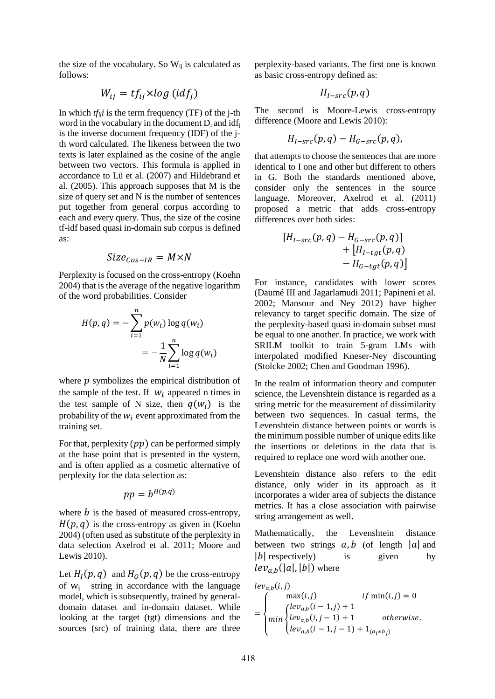the size of the vocabulary. So  $W_{ij}$  is calculated as follows:

$$
W_{ij} = tf_{ij} \times log\ (idf_j)
$$

In which  $tf_{ij}$ *i* is the term frequency (TF) of the j-th word in the vocabulary in the document  $D_i$  and idf<sub>i</sub> is the inverse document frequency (IDF) of the jth word calculated. The likeness between the two texts is later explained as the cosine of the angle between two vectors. This formula is applied in accordance to Lü et al. (2007) and Hildebrand et al. (2005). This approach supposes that M is the size of query set and N is the number of sentences put together from general corpus according to each and every query. Thus, the size of the cosine tf-idf based quasi in-domain sub corpus is defined as:

$$
Size_{Cos-IR} = M \times N
$$

Perplexity is focused on the cross-entropy (Koehn 2004) that is the average of the negative logarithm of the word probabilities. Consider

$$
H(p,q) = -\sum_{i=1}^{n} p(w_i) \log q(w_i)
$$

$$
= -\frac{1}{N} \sum_{i=1}^{n} \log q(w_i)
$$

where  $p$  symbolizes the empirical distribution of the sample of the test. If  $W_i$  appeared n times in the test sample of N size, then  $q(w_i)$  is the probability of the  $W_i$  event approximated from the training set.

For that, perplexity  $(pp)$  can be performed simply at the base point that is presented in the system, and is often applied as a cosmetic alternative of perplexity for the data selection as:

$$
pp = b^{H(p,q)}
$$

where  $\dot{b}$  is the based of measured cross-entropy,  $H(p, q)$  is the cross-entropy as given in (Koehn 2004) (often used as substitute of the perplexity in data selection Axelrod et al. 2011; Moore and Lewis 2010).

Let  $H_I(p,q)$  and  $H_O(p,q)$  be the cross-entropy of  $w_i$  string in accordance with the language model, which is subsequently, trained by generaldomain dataset and in-domain dataset. While looking at the target (tgt) dimensions and the sources (src) of training data, there are three

perplexity-based variants. The first one is known as basic cross-entropy defined as:

$$
H_{I-src}(p,q)
$$

The second is Moore-Lewis cross-entropy difference (Moore and Lewis 2010):

$$
H_{I-src}(p,q) - H_{G-src}(p,q),
$$

that attempts to choose the sentences that are more identical to I one and other but different to others in G. Both the standards mentioned above, consider only the sentences in the source language. Moreover, Axelrod et al. (2011) proposed a metric that adds cross-entropy differences over both sides:

$$
[H_{I-src}(p,q) - H_{G-src}(p,q)]
$$
  
+ 
$$
[H_{I-tgt}(p,q)]
$$
  
- 
$$
H_{G-tgt}(p,q)]
$$

For instance, candidates with lower scores (Daumé III and Jagarlamudi 2011; Papineni et al. 2002; Mansour and Ney 2012) have higher relevancy to target specific domain. The size of the perplexity-based quasi in-domain subset must be equal to one another. In practice, we work with SRILM toolkit to train 5-gram LMs with interpolated modified Kneser-Ney discounting (Stolcke 2002; Chen and Goodman 1996).

In the realm of information theory and computer science, the Levenshtein distance is regarded as a string metric for the measurement of dissimilarity between two sequences. In casual terms, the Levenshtein distance between points or words is the minimum possible number of unique edits like the insertions or deletions in the data that is required to replace one word with another one.

Levenshtein distance also refers to the edit distance, only wider in its approach as it incorporates a wider area of subjects the distance metrics. It has a close association with pairwise string arrangement as well.

Mathematically, the Levenshtein distance between two strings  $a, b$  (of length |a| and  $|b|$  respectively) is given by  $lev_{a,b}(|a|, |b|)$  where

$$
lev_{a,b}(i,j)
$$
  
= 
$$
\begin{cases} \max(i,j) & if \min(i,j) = 0 \\ (lev_{a,b}(i-1,j)+1) & otherwise. \\ lev_{a,b}(i-1,j-1)+1 & otherwise. \\ lev_{a,b}(i-1,j-1)+1_{(a_i \neq b_j)} \end{cases}
$$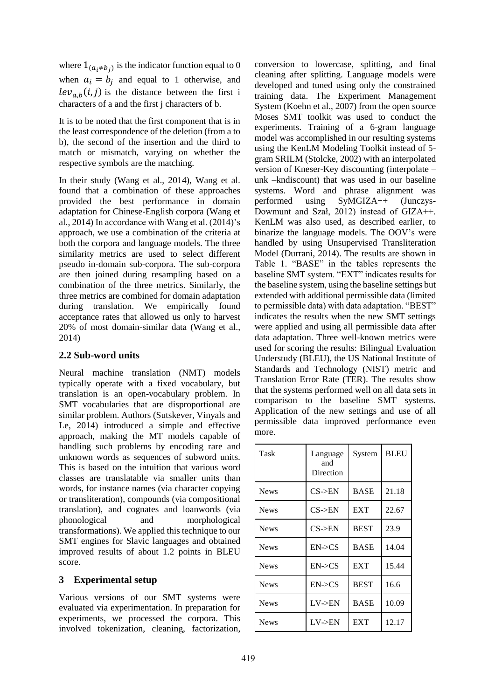where  $1_{(a_i \neq b_j)}$  is the indicator function equal to 0 when  $a_i = b_i$  and equal to 1 otherwise, and  $lev_{a,b}(i,j)$  is the distance between the first i characters of a and the first j characters of b.

It is to be noted that the first component that is in the least correspondence of the deletion (from a to b), the second of the insertion and the third to match or mismatch, varying on whether the respective symbols are the matching.

In their study (Wang et al., 2014), Wang et al. found that a combination of these approaches provided the best performance in domain adaptation for Chinese-English corpora (Wang et al., 2014) In accordance with Wang et al. (2014)'s approach, we use a combination of the criteria at both the corpora and language models. The three similarity metrics are used to select different pseudo in-domain sub-corpora. The sub-corpora are then joined during resampling based on a combination of the three metrics. Similarly, the three metrics are combined for domain adaptation during translation. We empirically found acceptance rates that allowed us only to harvest 20% of most domain-similar data (Wang et al., 2014)

## **2.2 Sub-word units**

Neural machine translation (NMT) models typically operate with a fixed vocabulary, but translation is an open-vocabulary problem. In SMT vocabularies that are disproportional are similar problem. Authors (Sutskever, Vinyals and Le, 2014) introduced a simple and effective approach, making the MT models capable of handling such problems by encoding rare and unknown words as sequences of subword units. This is based on the intuition that various word classes are translatable via smaller units than words, for instance names (via character copying or transliteration), compounds (via compositional translation), and cognates and loanwords (via phonological and morphological transformations). We applied this technique to our SMT engines for Slavic languages and obtained improved results of about 1.2 points in BLEU score.

## **3 Experimental setup**

Various versions of our SMT systems were evaluated via experimentation. In preparation for experiments, we processed the corpora. This involved tokenization, cleaning, factorization, conversion to lowercase, splitting, and final cleaning after splitting. Language models were developed and tuned using only the constrained training data. The Experiment Management System (Koehn et al., 2007) from the open source Moses SMT toolkit was used to conduct the experiments. Training of a 6-gram language model was accomplished in our resulting systems using the KenLM Modeling Toolkit instead of 5 gram SRILM (Stolcke, 2002) with an interpolated version of Kneser-Key discounting (interpolate – unk –kndiscount) that was used in our baseline systems. Word and phrase alignment was performed using SyMGIZA++ (Junczys-Dowmunt and Szał, 2012) instead of GIZA++. KenLM was also used, as described earlier, to binarize the language models. The OOV's were handled by using Unsupervised Transliteration Model (Durrani, 2014). The results are shown in Table 1. "BASE" in the tables represents the baseline SMT system. "EXT" indicates results for the baseline system, using the baseline settings but extended with additional permissible data (limited to permissible data) with data adaptation. "BEST" indicates the results when the new SMT settings were applied and using all permissible data after data adaptation. Three well-known metrics were used for scoring the results: Bilingual Evaluation Understudy (BLEU), the US National Institute of Standards and Technology (NIST) metric and Translation Error Rate (TER). The results show that the systems performed well on all data sets in comparison to the baseline SMT systems. Application of the new settings and use of all permissible data improved performance even more.

| Task        | Language<br>and<br>Direction | System      | <b>BLEU</b> |
|-------------|------------------------------|-------------|-------------|
| <b>News</b> | $CS$ ->EN                    | <b>BASE</b> | 21.18       |
| <b>News</b> | $CS$ ->EN                    | <b>EXT</b>  | 22.67       |
| <b>News</b> | $CS$ ->EN                    | <b>BEST</b> | 23.9        |
| <b>News</b> | EN > CS                      | <b>BASE</b> | 14.04       |
| <b>News</b> | EN > CS                      | <b>EXT</b>  | 15.44       |
| <b>News</b> | $EN\rightarrow CS$           | <b>BEST</b> | 16.6        |
| <b>News</b> | LV > EN                      | <b>BASE</b> | 10.09       |
| <b>News</b> | LV->EN                       | <b>EXT</b>  | 12.17       |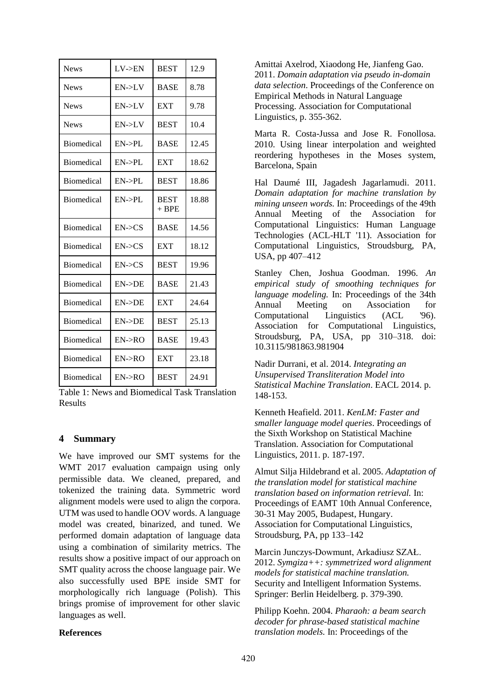| <b>News</b>       | $LV$ -> $EN$       | <b>BEST</b>            | 12.9  |
|-------------------|--------------------|------------------------|-------|
| <b>News</b>       | EN > LV            | <b>BASE</b>            | 8.78  |
| <b>News</b>       | EN > LV            | <b>EXT</b>             | 9.78  |
| <b>News</b>       | EN > LV            | <b>BEST</b>            | 10.4  |
| <b>Biomedical</b> | $EN->PL$           | <b>BASE</b>            | 12.45 |
| <b>Biomedical</b> | $EN->PI$ .         | <b>EXT</b>             | 18.62 |
| <b>Biomedical</b> | $EN->PL$           | <b>BEST</b>            | 18.86 |
| <b>Biomedical</b> | $EN->PI$ .         | <b>BEST</b><br>$+$ BPE | 18.88 |
| <b>Biomedical</b> | EN > CS            | <b>BASE</b>            | 14.56 |
| Biomedical        | EN > CS            | <b>EXT</b>             | 18.12 |
| <b>Biomedical</b> | EN > CS            | <b>BEST</b>            | 19.96 |
| Biomedical        | $EN$ -> $DE$       | <b>BASE</b>            | 21.43 |
| <b>Biomedical</b> | $EN->DE$           | <b>EXT</b>             | 24.64 |
| <b>Biomedical</b> | $EN$ -> $DE$       | <b>BEST</b>            | 25.13 |
| <b>Biomedical</b> | $EN\rightarrow RO$ | <b>BASE</b>            | 19.43 |
| <b>Biomedical</b> | $EN\rightarrow RO$ | <b>EXT</b>             | 23.18 |
| <b>Biomedical</b> | EN > RO            | <b>BEST</b>            | 24.91 |

Table 1: News and Biomedical Task Translation Results

## **4 Summary**

We have improved our SMT systems for the WMT 2017 evaluation campaign using only permissible data. We cleaned, prepared, and tokenized the training data. Symmetric word alignment models were used to align the corpora. UTM was used to handle OOV words. A language model was created, binarized, and tuned. We performed domain adaptation of language data using a combination of similarity metrics. The results show a positive impact of our approach on SMT quality across the choose language pair. We also successfully used BPE inside SMT for morphologically rich language (Polish). This brings promise of improvement for other slavic languages as well.

### **References**

Amittai Axelrod, Xiaodong He, Jianfeng Gao. 2011. *Domain adaptation via pseudo in-domain data selection*. Proceedings of the Conference on Empirical Methods in Natural Language Processing. Association for Computational Linguistics, p. 355-362.

Marta R. Costa-Jussa and Jose R. Fonollosa. 2010. Using linear interpolation and weighted reordering hypotheses in the Moses system, Barcelona, Spain

Hal Daumé III, Jagadesh Jagarlamudi. 2011. *Domain adaptation for machine translation by mining unseen words.* In: Proceedings of the 49th Annual Meeting of the Association for Computational Linguistics: Human Language Technologies (ACL-HLT '11). Association for Computational Linguistics, Stroudsburg, PA, USA, pp 407–412

Stanley Chen, Joshua Goodman. 1996. *An empirical study of smoothing techniques for language modeling.* In: Proceedings of the 34th Annual Meeting on Association for Computational Linguistics (ACL '96). Association for Computational Linguistics, Stroudsburg, PA, USA, pp 310–318. doi: 10.3115/981863.981904

Nadir Durrani, et al. 2014. *Integrating an Unsupervised Transliteration Model into Statistical Machine Translation*. EACL 2014. p. 148-153.

Kenneth Heafield. 2011. *KenLM: Faster and smaller language model queries*. Proceedings of the Sixth Workshop on Statistical Machine Translation. Association for Computational Linguistics, 2011. p. 187-197.

Almut Silja Hildebrand et al. 2005. *Adaptation of the translation model for statistical machine translation based on information retrieval.* In: Proceedings of EAMT 10th Annual Conference, 30-31 May 2005, Budapest, Hungary. Association for Computational Linguistics, Stroudsburg, PA, pp 133–142

Marcin Junczys-Dowmunt, Arkadiusz SZAŁ. 2012. *Symgiza++: symmetrized word alignment models for statistical machine translation.* Security and Intelligent Information Systems. Springer: Berlin Heidelberg. p. 379-390.

Philipp Koehn. 2004. *Pharaoh: a beam search decoder for phrase-based statistical machine translation models.* In: Proceedings of the